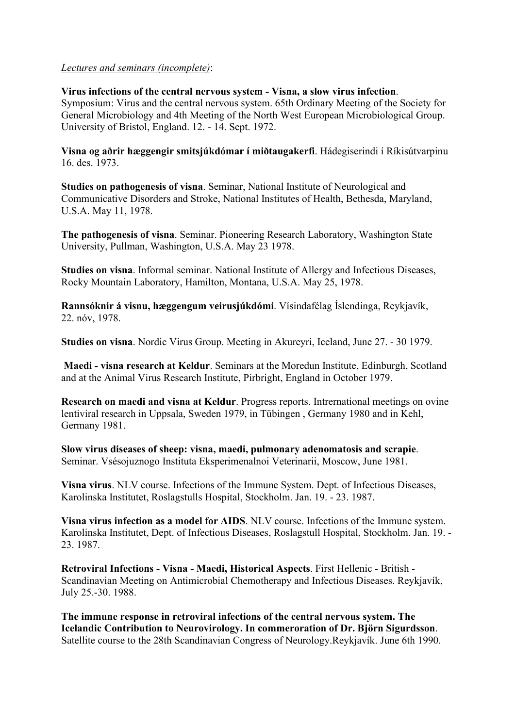## Lectures and seminars (incomplete):

Virus infections of the central nervous system - Visna, a slow virus infection. Symposium: Virus and the central nervous system. 65th Ordinary Meeting of the Society for General Microbiology and 4th Meeting of the North West European Microbiological Group. University of Bristol, England. 12. - 14. Sept. 1972.

Visna og aðrir hæggengir smitsjúkdómar í miðtaugakerfi. Hádegiserindi í Ríkisútvarpinu 16. des. 1973.

Studies on pathogenesis of visna. Seminar, National Institute of Neurological and Communicative Disorders and Stroke, National Institutes of Health, Bethesda, Maryland, U.S.A. May 11, 1978.

The pathogenesis of visna. Seminar. Pioneering Research Laboratory, Washington State University, Pullman, Washington, U.S.A. May 23 1978.

Studies on visna. Informal seminar. National Institute of Allergy and Infectious Diseases, Rocky Mountain Laboratory, Hamilton, Montana, U.S.A. May 25, 1978.

Rannsóknir á visnu, hæggengum veirusjúkdómi. Vísindafélag Íslendinga, Reykjavík, 22. nóv, 1978.

Studies on visna. Nordic Virus Group. Meeting in Akureyri, Iceland, June 27. - 30 1979.

 Maedi - visna research at Keldur. Seminars at the Moredun Institute, Edinburgh, Scotland and at the Animal Virus Research Institute, Pirbright, England in October 1979.

Research on maedi and visna at Keldur. Progress reports. Intrernational meetings on ovine lentiviral research in Uppsala, Sweden 1979, in Tübingen , Germany 1980 and in Kehl, Germany 1981.

Slow virus diseases of sheep: visna, maedi, pulmonary adenomatosis and scrapie. Seminar. Vsésojuznogo Instituta Eksperimenalnoi Veterinarii, Moscow, June 1981.

Visna virus. NLV course. Infections of the Immune System. Dept. of Infectious Diseases, Karolinska Institutet, Roslagstulls Hospital, Stockholm. Jan. 19. - 23. 1987.

Visna virus infection as a model for AIDS. NLV course. Infections of the Immune system. Karolinska Institutet, Dept. of Infectious Diseases, Roslagstull Hospital, Stockholm. Jan. 19. - 23. 1987.

Retroviral Infections - Visna - Maedi, Historical Aspects. First Hellenic - British - Scandinavian Meeting on Antimicrobial Chemotherapy and Infectious Diseases. Reykjavík, July 25.-30. 1988.

The immune response in retroviral infections of the central nervous system. The Icelandic Contribution to Neurovirology. In commeroration of Dr. Björn Sigurdsson. Satellite course to the 28th Scandinavian Congress of Neurology.Reykjavík. June 6th 1990.